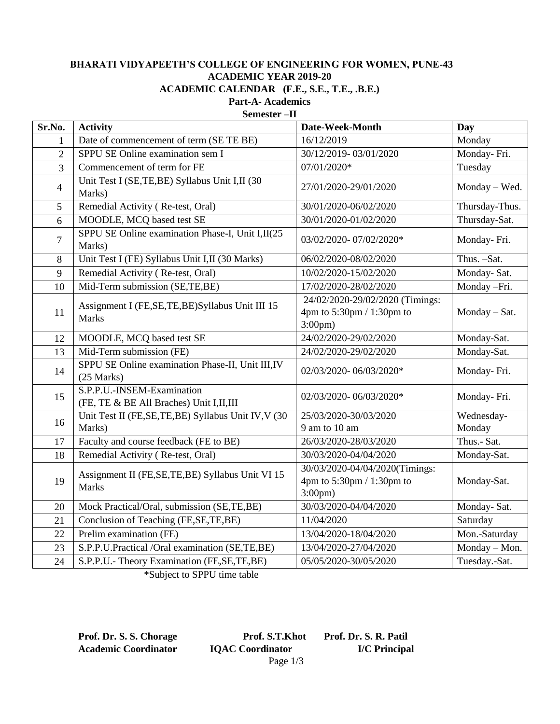## **BHARATI VIDYAPEETH'S COLLEGE OF ENGINEERING FOR WOMEN, PUNE-43 ACADEMIC YEAR 2019-20**

**ACADEMIC CALENDAR (F.E., S.E., T.E., .B.E.)**

**Part-A- Academics Semester –II**

| Sr.No.         | <b>Activity</b>                                                       | Date-Week-Month                                                                  | Day            |
|----------------|-----------------------------------------------------------------------|----------------------------------------------------------------------------------|----------------|
| 1              | Date of commencement of term (SE TE BE)                               | 16/12/2019                                                                       | Monday         |
| $\overline{2}$ | SPPU SE Online examination sem I                                      | 30/12/2019-03/01/2020                                                            | Monday-Fri.    |
| 3              | Commencement of term for FE                                           | 07/01/2020*                                                                      | Tuesday        |
| $\overline{4}$ | Unit Test I (SE,TE,BE) Syllabus Unit I,II (30<br>Marks)               | 27/01/2020-29/01/2020                                                            | Monday - Wed.  |
| 5              | Remedial Activity (Re-test, Oral)                                     | 30/01/2020-06/02/2020                                                            | Thursday-Thus. |
| 6              | MOODLE, MCQ based test SE                                             | 30/01/2020-01/02/2020                                                            | Thursday-Sat.  |
| $\overline{7}$ | SPPU SE Online examination Phase-I, Unit I,II(25<br>Marks)            | 03/02/2020-07/02/2020*                                                           | Monday-Fri.    |
| 8              | Unit Test I (FE) Syllabus Unit I,II (30 Marks)                        | 06/02/2020-08/02/2020                                                            | Thus. -Sat.    |
| 9              | Remedial Activity (Re-test, Oral)                                     | 10/02/2020-15/02/2020                                                            | Monday-Sat.    |
| 10             | Mid-Term submission (SE,TE,BE)                                        | 17/02/2020-28/02/2020                                                            | Monday -Fri.   |
| 11             | Assignment I (FE, SE, TE, BE) Syllabus Unit III 15<br><b>Marks</b>    | 24/02/2020-29/02/2020 (Timings:<br>4pm to 5:30pm / 1:30pm to<br>$3:00 \text{pm}$ | Monday - Sat.  |
| 12             | MOODLE, MCQ based test SE                                             | 24/02/2020-29/02/2020                                                            | Monday-Sat.    |
| 13             | Mid-Term submission (FE)                                              | 24/02/2020-29/02/2020                                                            | Monday-Sat.    |
| 14             | SPPU SE Online examination Phase-II, Unit III, IV<br>$(25$ Marks)     | 02/03/2020-06/03/2020*                                                           | Monday-Fri.    |
| 15             | S.P.P.U.-INSEM-Examination<br>(FE, TE & BE All Braches) Unit I,II,III | 02/03/2020-06/03/2020*                                                           | Monday-Fri.    |
| 16             | Unit Test II (FE,SE,TE,BE) Syllabus Unit IV, V (30                    | 25/03/2020-30/03/2020                                                            | Wednesday-     |
|                | Marks)                                                                | 9 am to 10 am                                                                    | Monday         |
| 17             | Faculty and course feedback (FE to BE)                                | 26/03/2020-28/03/2020                                                            | Thus.- Sat.    |
| 18             | Remedial Activity (Re-test, Oral)                                     | 30/03/2020-04/04/2020                                                            | Monday-Sat.    |
| 19             | Assignment II (FE, SE, TE, BE) Syllabus Unit VI 15<br><b>Marks</b>    | 30/03/2020-04/04/2020(Timings:<br>4pm to 5:30pm / 1:30pm to<br>$3:00 \text{pm}$  | Monday-Sat.    |
| 20             | Mock Practical/Oral, submission (SE,TE,BE)                            | 30/03/2020-04/04/2020                                                            | Monday-Sat.    |
| 21             | Conclusion of Teaching (FE, SE, TE, BE)                               | 11/04/2020                                                                       | Saturday       |
| 22             | Prelim examination (FE)                                               | 13/04/2020-18/04/2020                                                            | Mon.-Saturday  |
| 23             | S.P.P.U.Practical /Oral examination (SE,TE,BE)                        | 13/04/2020-27/04/2020                                                            | Monday - Mon.  |
| 24             | S.P.P.U.- Theory Examination (FE,SE,TE,BE)                            | 05/05/2020-30/05/2020                                                            | Tuesday.-Sat.  |

\*Subject to SPPU time table

**Prof. Dr. S. S. Chorage Prof. S.T.Khot Prof. Dr. S. R. Patil Academic Coordinator IQAC Coordinator I/C Principal** Page 1/3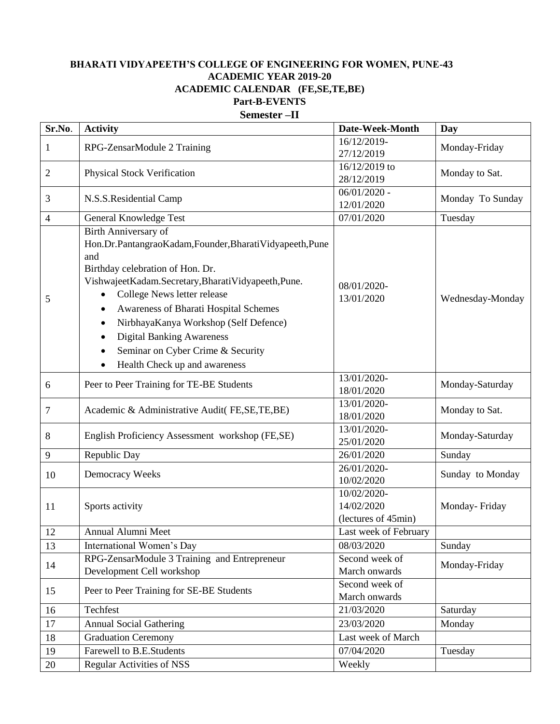## **BHARATI VIDYAPEETH'S COLLEGE OF ENGINEERING FOR WOMEN, PUNE-43 ACADEMIC YEAR 2019-20 ACADEMIC CALENDAR (FE,SE,TE,BE) Part-B-EVENTS Semester –II**

| Sr.No.       | <b>Activity</b>                                                                                                                                                                                                                                                                                                                                                                                                                                | Date-Week-Month                                  | Day              |
|--------------|------------------------------------------------------------------------------------------------------------------------------------------------------------------------------------------------------------------------------------------------------------------------------------------------------------------------------------------------------------------------------------------------------------------------------------------------|--------------------------------------------------|------------------|
| $\mathbf{1}$ | RPG-ZensarModule 2 Training                                                                                                                                                                                                                                                                                                                                                                                                                    | 16/12/2019-                                      | Monday-Friday    |
|              |                                                                                                                                                                                                                                                                                                                                                                                                                                                | 27/12/2019                                       |                  |
| 2            | Physical Stock Verification                                                                                                                                                                                                                                                                                                                                                                                                                    | 16/12/2019 to                                    | Monday to Sat.   |
|              |                                                                                                                                                                                                                                                                                                                                                                                                                                                | 28/12/2019                                       |                  |
| 3            | N.S.S.Residential Camp                                                                                                                                                                                                                                                                                                                                                                                                                         | $06/01/2020$ -                                   | Monday To Sunday |
|              |                                                                                                                                                                                                                                                                                                                                                                                                                                                | 12/01/2020                                       |                  |
| 4            | General Knowledge Test                                                                                                                                                                                                                                                                                                                                                                                                                         | 07/01/2020                                       | Tuesday          |
| 5            | <b>Birth Anniversary of</b><br>Hon.Dr.PantangraoKadam,Founder,BharatiVidyapeeth,Pune<br>and<br>Birthday celebration of Hon. Dr.<br>VishwajeetKadam.Secretary,BharatiVidyapeeth,Pune.<br>College News letter release<br>Awareness of Bharati Hospital Schemes<br>٠<br>NirbhayaKanya Workshop (Self Defence)<br>$\bullet$<br><b>Digital Banking Awareness</b><br>$\bullet$<br>Seminar on Cyber Crime & Security<br>Health Check up and awareness | 08/01/2020-<br>13/01/2020                        | Wednesday-Monday |
| 6            | Peer to Peer Training for TE-BE Students                                                                                                                                                                                                                                                                                                                                                                                                       | 13/01/2020-<br>18/01/2020                        | Monday-Saturday  |
| 7            | Academic & Administrative Audit(FE,SE,TE,BE)                                                                                                                                                                                                                                                                                                                                                                                                   | 13/01/2020-<br>18/01/2020                        | Monday to Sat.   |
| 8            | English Proficiency Assessment workshop (FE,SE)                                                                                                                                                                                                                                                                                                                                                                                                | 13/01/2020-<br>25/01/2020                        | Monday-Saturday  |
| 9            | Republic Day                                                                                                                                                                                                                                                                                                                                                                                                                                   | 26/01/2020                                       | Sunday           |
| 10           | Democracy Weeks                                                                                                                                                                                                                                                                                                                                                                                                                                | 26/01/2020-<br>10/02/2020                        | Sunday to Monday |
| 11           | Sports activity                                                                                                                                                                                                                                                                                                                                                                                                                                | 10/02/2020-<br>14/02/2020<br>(lectures of 45min) | Monday-Friday    |
| 12           | Annual Alumni Meet                                                                                                                                                                                                                                                                                                                                                                                                                             | Last week of February                            |                  |
| 13           | International Women's Day                                                                                                                                                                                                                                                                                                                                                                                                                      | 08/03/2020                                       | Sunday           |
| 14           | RPG-ZensarModule 3 Training and Entrepreneur<br>Development Cell workshop                                                                                                                                                                                                                                                                                                                                                                      | Second week of<br>March onwards                  | Monday-Friday    |
| 15           | Peer to Peer Training for SE-BE Students                                                                                                                                                                                                                                                                                                                                                                                                       | Second week of<br>March onwards                  |                  |
| 16           | Techfest                                                                                                                                                                                                                                                                                                                                                                                                                                       | 21/03/2020                                       | Saturday         |
| 17           | <b>Annual Social Gathering</b>                                                                                                                                                                                                                                                                                                                                                                                                                 | 23/03/2020                                       | Monday           |
| 18           | <b>Graduation Ceremony</b>                                                                                                                                                                                                                                                                                                                                                                                                                     | Last week of March                               |                  |
| 19           | Farewell to B.E.Students                                                                                                                                                                                                                                                                                                                                                                                                                       | 07/04/2020                                       | Tuesday          |
| 20           | Regular Activities of NSS                                                                                                                                                                                                                                                                                                                                                                                                                      | Weekly                                           |                  |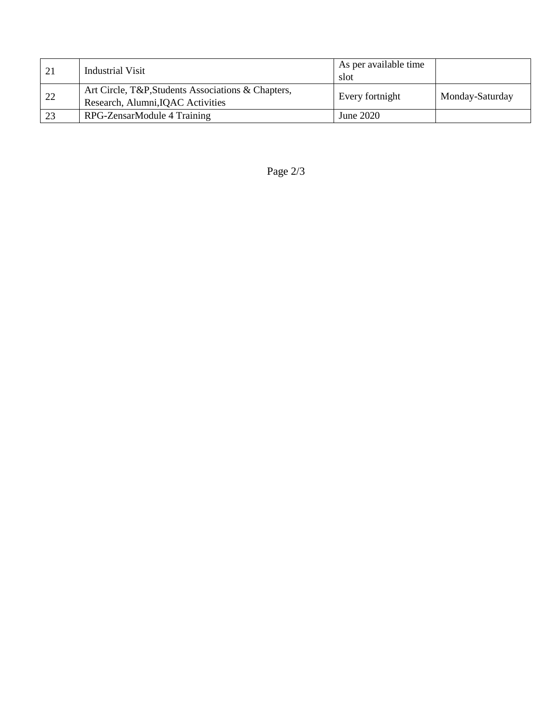| 21 | Industrial Visit                                                                        | As per available time<br>slot |                 |
|----|-----------------------------------------------------------------------------------------|-------------------------------|-----------------|
| 22 | Art Circle, T&P, Students Associations & Chapters,<br>Research, Alumni, IQAC Activities | Every fortnight               | Monday-Saturday |
| 23 | RPG-ZensarModule 4 Training                                                             | June 2020                     |                 |

Page 2/3